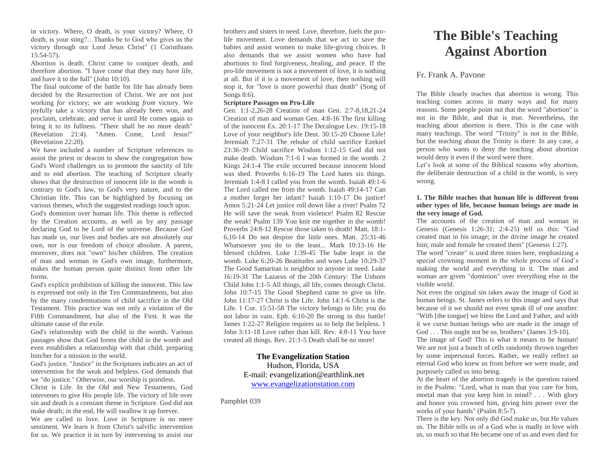in victory. Where, O death, is your victory? Where, O death, is your sting?…Thanks be to God who gives us the victory through our Lord Jesus Christ" (1 Corinthians 15:54-57).

Abortion is death. Christ came to conquer death, and therefore abortion. "I have come that they may have life, and have it to the full" (John 10:10).

The final outcome of the battle for life has already been decided by the Resurrection of Christ. We are not just working *for* victory; we are working *from* victory. We joyfully take a victory that has already been won, and proclaim, celebrate, and serve it until He comes again to bring it to its fullness. "There shall be no more death" (Revelation 21:4). "Amen. Come, Lord Jesus!" (Revelation 22:20).

We have included a number of Scripture references to assist the priest or deacon to show the congregation how God's Word challenges us to promote the sanctity of life and to end abortion. The teaching of Scripture clearly shows that the destruction of innocent life in the womb is contrary to God's law, to God's very nature, and to the Christian life. This can be highlighted by focusing on various themes, which the suggested readings touch upon. God's dominion over human life. This theme is reflected by the Creation accounts, as well as by any passage declaring God to be Lord of the universe. Because God has made us, our lives and bodies are not absolutely our own, nor is our freedom of choice absolute. A parent, moreover, does not "own" his/her children. The creation of man and woman in God's own image, furthermore, makes the human person quite distinct from other life forms.

God's explicit prohibition of killing the innocent. This law is expressed not only in the Ten Commandments, but also by the many condemnations of child sacrifice in the Old Testament. This practice was not only a violation of the Fifth Commandment, but also of the First. It was the ultimate cause of the exile.

God's relationship with the child in the womb. Various passages show that God forms the child in the womb and even establishes a relationship with that child, preparing him/her for a mission in the world.

God's justice. "Justice" in the Scriptures indicates an act of intervention for the weak and helpless. God demands that we "do justice." Otherwise, our worship is pointless.

Christ is Life. In the Old and New Testaments, God intervenes to give His people life. The victory of life over sin and death is a constant theme in Scripture. God did not make death; in the end, He will swallow it up forever.

We are called to love. Love in Scripture is no mere sentiment. We learn it from Christ's salvific intervention for us. We practice it in turn by intervening to assist our brothers and sisters in need. Love, therefore, fuels the prolife movement. Love demands that we act to save the babies and assist women to make life-giving choices. It also demands that we assist women who have had abortions to find forgiveness, healing, and peace. If the pro-life movement is not a movement of love, it is nothing at all. But if it is a movement of love, then nothing will stop it, for "love is more powerful than death" (Song of Songs 8:6).

#### **Scripture Passages on Pro-Life**

Gen. 1:1-2,26-28 Creation of man Gen. 2:7-8,18,21-24 Creation of man and woman Gen. 4:8-16 The first killing of the innocent Ex. 20:1-17 The Decalogue Lev. 19:15-18 Love of your neighbor's life Deut. 30:15-20 Choose Life! Jeremiah 7:27-31 The rebuke of child sacrifice Ezekiel 23:36-39 Child sacrifice Wisdom 1:12-15 God did not make death. Wisdom 7:1-6 I was formed in the womb. 2 Kings 24:1-4 The exile occurred because innocent blood was shed. Proverbs 6:16-19 The Lord hates six things. Jeremiah 1:4-8 I called you from the womb. Isaiah 49:1-6 The Lord called me from the womb. Isaiah 49:14-17 Can a mother forget her infant? Isaiah 1:10-17 Do justice! Amos 5:21-24 Let justice roll down like a river! Psalm 72 He will save the weak from violence! Psalm 82 Rescue the weak! Psalm 139 You knit me together in the womb! Proverbs 24:8-12 Rescue those taken to death! Matt. 18:1- 6,10-14 Do not despise the little ones. Matt. 25:31-46 Whatsoever you do to the least... Mark 10:13-16 He blessed children. Luke 1:39-45 The babe leapt in the womb. Luke 6:20-26 Beatitudes and woes Luke 10:29-37 The Good Samaritan is neighbor to anyone in need. Luke 16:19-31 The Lazarus of the 20th Century: The Unborn Child John 1:1-5 All things, all life, comes through Christ. John 10:7-15 The Good Shepherd came to give us life. John 11:17-27 Christ is the Life. John 14:1-6 Christ is the Life. 1 Cor. 15:51-58 The victory belongs to life; you do not labor in vain. Eph. 6:10-20 Be strong in this battle! James 1:22-27 Religion requires us to help the helpless. 1 John 3:11-18 Love rather than kill. Rev. 4:8-11 You have created all things. Rev. 21:1-5 Death shall be no more!

## **The Evangelization Station**

Hudson, Florida, USA E-mail: evangelization@earthlink.net [www.evangelizationstation.com](http://www.pjpiisoe.org/)

Pamphlet 039

# **The Bible's Teaching Against Abortion**

# Fr. Frank A. Pavone

The Bible clearly teaches that abortion is wrong. This teaching comes across in many ways and for many reasons. Some people point out that the word "abortion" is not in the Bible, and that is true. Nevertheless, the teaching about abortion is there. This is the case with many teachings. The word "Trinity" is not in the Bible, but the teaching about the Trinity is there. In any case, a person who wants to deny the teaching about abortion would deny it even if the word were there.

Let's look at some of the Biblical reasons why abortion, the deliberate destruction of a child in the womb, is very wrong.

### **1. The Bible teaches that human life is different from other types of life, because human beings are made in the very image of God.**

The accounts of the creation of man and woman in Genesis (Genesis 1:26-31; 2:4-25) tell us this: "God created man in his image; in the divine image he created him; male and female he created them" (Genesis 1:27).

The word "create" is used three times here, emphasizing a special crowning moment in the whole process of God's making the world and everything in it. The man and woman are given "dominion" over everything else in the visible world.

Not even the original sin takes away the image of God in human beings. St. James refers to this image and says that because of it we should not even speak ill of one another. "With [the tongue] we bless the Lord and Father, and with it we curse human beings who are made in the image of God . . . This ought not be so, brothers" (James 3:9-10).

The image of God! This is what it means to be human! We are not just a bunch of cells randomly thrown together by some impersonal forces. Rather, we really reflect an eternal God who knew us from before we were made, and purposely called us into being.

At the heart of the abortion tragedy is the question raised in the Psalms: "Lord, what is man that you care for him, mortal man that you keep him in mind? . . . With glory and honor you crowned him, giving him power over the works of your hands" (Psalm 8:5-7).

There is the key. Not only did God make us, but He values us. The Bible tells us of a God who is madly in love with us, so much so that He became one of us and even died for